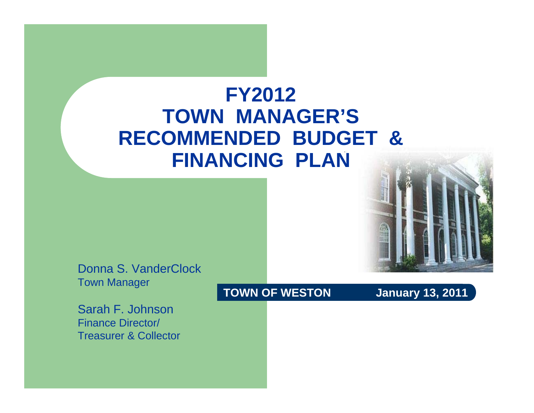#### **FY2012TOWN MANAGER'S RECOMMENDED BUDGET & FINANCING PLAN**



Donna S. VanderClockTown Manager

Sarah F. JohnsonFinance Director/ Treasurer & Collector

**TOWN OF WESTON** January 13, 2011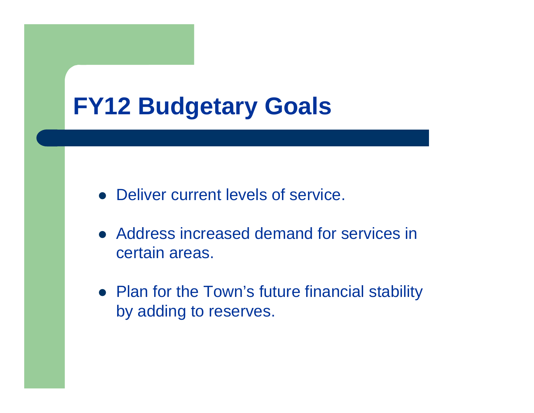#### **FY12 Budgetary Goals**

- Deliver current levels of service.
- Address increased demand for services in certain areas.
- Plan for the Town's future financial stability by adding to reserves.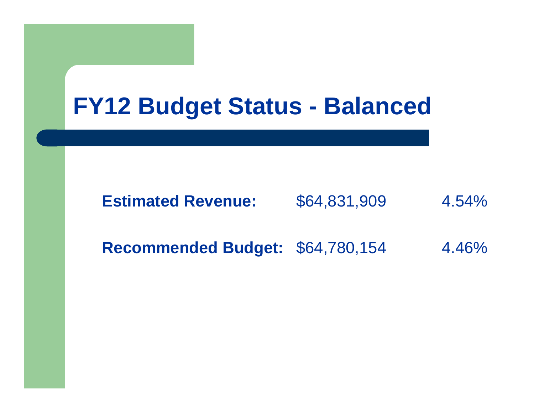#### **FY12 Budget Status - Balanced**

#### **Estimated Revenue:**\$64,831,909 4.54%

**Recommended Budget:** \$64,780,154 4.46%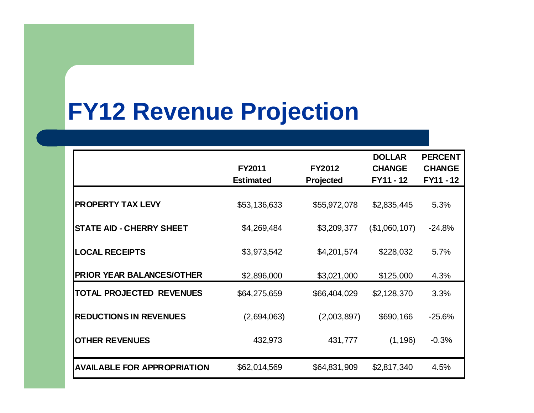# **FY12 Revenue Projection**

|                                    | <b>FY2011</b><br><b>Estimated</b> | FY2012<br>Projected | <b>DOLLAR</b><br><b>CHANGE</b><br>FY11 - 12 | <b>PERCENT</b><br><b>CHANGE</b><br>FY11 - 12 |  |
|------------------------------------|-----------------------------------|---------------------|---------------------------------------------|----------------------------------------------|--|
| <b>PROPERTY TAX LEVY</b>           | \$53,136,633                      | \$55,972,078        | \$2,835,445                                 | 5.3%                                         |  |
| <b>STATE AID - CHERRY SHEET</b>    | \$4,269,484                       | \$3,209,377         | (\$1,060,107)                               | $-24.8%$                                     |  |
| <b>LOCAL RECEIPTS</b>              | \$3,973,542                       | \$4,201,574         | \$228,032                                   | 5.7%                                         |  |
| <b>PRIOR YEAR BALANCES/OTHER</b>   | \$2,896,000                       | \$3,021,000         | \$125,000                                   | 4.3%                                         |  |
| <b>TOTAL PROJECTED REVENUES</b>    | \$64,275,659                      | \$66,404,029        | \$2,128,370                                 | 3.3%                                         |  |
| <b>REDUCTIONS IN REVENUES</b>      | (2,694,063)                       | (2,003,897)         | \$690,166                                   | $-25.6%$                                     |  |
| <b>OTHER REVENUES</b>              | 432,973                           | 431,777             | (1, 196)                                    | $-0.3%$                                      |  |
| <b>AVAILABLE FOR APPROPRIATION</b> | \$62,014,569                      | \$64,831,909        | \$2,817,340                                 | 4.5%                                         |  |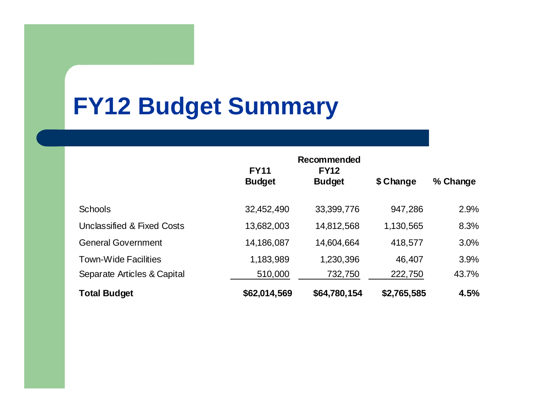#### **FY12 Budget Summary**

|                             | Recommended<br><b>FY11</b> |                              |             |          |
|-----------------------------|----------------------------|------------------------------|-------------|----------|
|                             | <b>Budget</b>              | <b>FY12</b><br><b>Budget</b> | \$ Change   | % Change |
| <b>Schools</b>              | 32,452,490                 | 33,399,776                   | 947,286     | 2.9%     |
| Unclassified & Fixed Costs  | 13,682,003                 | 14,812,568                   | 1,130,565   | 8.3%     |
| <b>General Government</b>   | 14,186,087                 | 14,604,664                   | 418,577     | 3.0%     |
| <b>Town-Wide Facilities</b> | 1,183,989                  | 1,230,396                    | 46,407      | 3.9%     |
| Separate Articles & Capital | 510,000                    | 732,750                      | 222,750     | 43.7%    |
| <b>Total Budget</b>         | \$62,014,569               | \$64,780,154                 | \$2,765,585 | 4.5%     |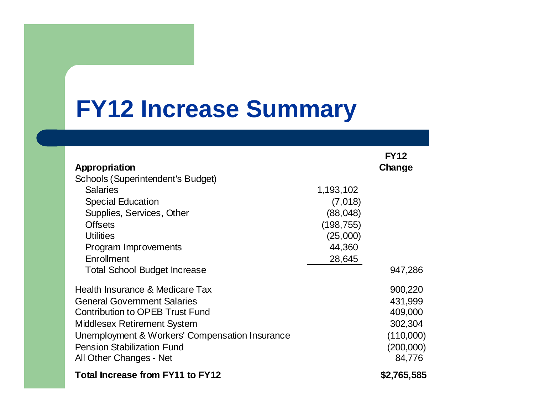## **FY12 Increase Summary**

| Appropriation                                  |            | <b>FY12</b><br>Change |
|------------------------------------------------|------------|-----------------------|
| Schools (Superintendent's Budget)              |            |                       |
| <b>Salaries</b>                                | 1,193,102  |                       |
| <b>Special Education</b>                       | (7,018)    |                       |
| Supplies, Services, Other                      | (88, 048)  |                       |
| <b>Offsets</b>                                 | (198, 755) |                       |
| <b>Utilities</b>                               | (25,000)   |                       |
| Program Improvements                           | 44,360     |                       |
| Enrollment                                     | 28,645     |                       |
| <b>Total School Budget Increase</b>            |            | 947,286               |
| Health Insurance & Medicare Tax                |            | 900,220               |
| <b>General Government Salaries</b>             |            | 431,999               |
| <b>Contribution to OPEB Trust Fund</b>         |            | 409,000               |
| <b>Middlesex Retirement System</b>             |            | 302,304               |
| Unemployment & Workers' Compensation Insurance |            | (110,000)             |
| <b>Pension Stabilization Fund</b>              |            | (200,000)             |
| All Other Changes - Net                        |            | 84,776                |
| Total Increase from FY11 to FY12               |            | \$2,765,585           |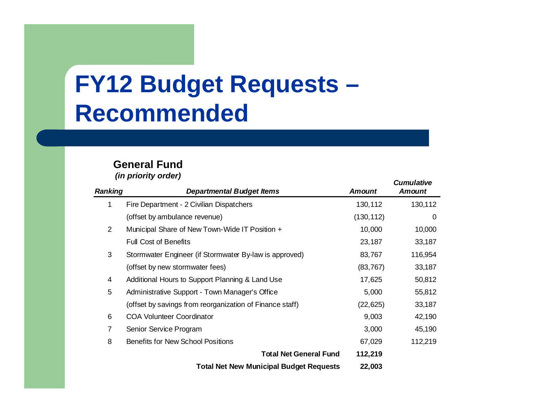## **FY12 Budget Requests – Recommended**

#### **General Fund***(in priority order) Cumulative*

| <b>Ranking</b>  | <b>Departmental Budget Items</b>                         | <b>Amount</b> | cumulative<br><b>Amount</b> |
|-----------------|----------------------------------------------------------|---------------|-----------------------------|
| 1               | Fire Department - 2 Civilian Dispatchers                 | 130,112       | 130,112                     |
|                 | (offset by ambulance revenue)                            | (130, 112)    | 0                           |
| $\overline{2}$  | Municipal Share of New Town-Wide IT Position +           | 10,000        | 10,000                      |
|                 | <b>Full Cost of Benefits</b>                             | 23,187        | 33,187                      |
| 3               | Stormwater Engineer (if Stormwater By-law is approved)   | 83,767        | 116,954                     |
|                 | (offset by new stormwater fees)                          | (83, 767)     | 33,187                      |
| 4               | Additional Hours to Support Planning & Land Use          | 17,625        | 50,812                      |
| $5\phantom{.0}$ | Administrative Support - Town Manager's Office           | 5,000         | 55,812                      |
|                 | (offset by savings from reorganization of Finance staff) | (22, 625)     | 33,187                      |
| 6               | <b>COA Volunteer Coordinator</b>                         | 9,003         | 42,190                      |
| $\overline{7}$  | Senior Service Program                                   | 3,000         | 45,190                      |
| 8               | <b>Benefits for New School Positions</b>                 | 67,029        | 112,219                     |
|                 | <b>Total Net General Fund</b>                            | 112,219       |                             |
|                 | <b>Total Net New Municipal Budget Requests</b>           | 22,003        |                             |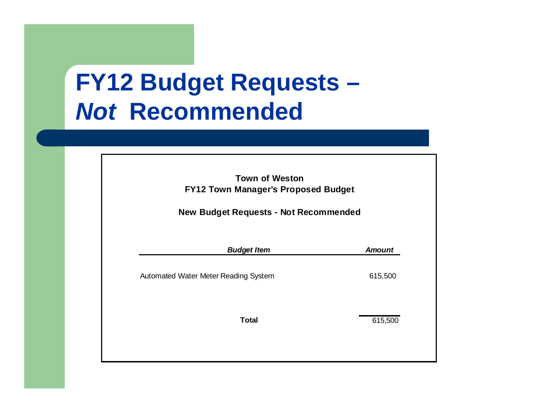# **FY12 Budget Requests –** *Not* **Recommended**

| <b>Town of Weston</b><br><b>FY12 Town Manager's Proposed Budget</b><br><b>New Budget Requests - Not Recommended</b> |               |  |  |
|---------------------------------------------------------------------------------------------------------------------|---------------|--|--|
| <b>Budget Item</b>                                                                                                  | <b>Amount</b> |  |  |
| Automated Water Meter Reading System                                                                                | 615,500       |  |  |
| <b>Total</b>                                                                                                        | 615,500       |  |  |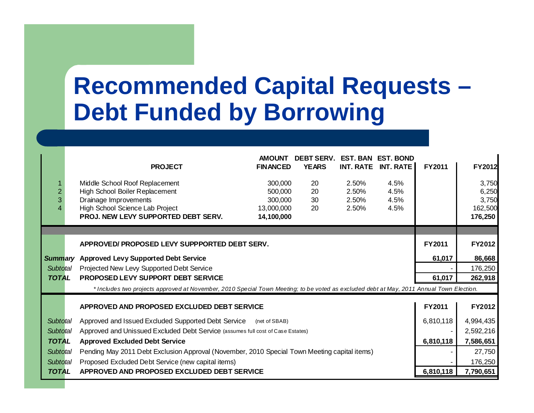## **Recommended Capital Requests – Debt Funded by Borrowing**

|                 | <b>PROJECT</b>                                                                                                                           | <b>AMOUNT</b><br><b>FINANCED</b> | <b>DEBT SERV.</b><br><b>YEARS</b> |       | <b>EST. BAN EST. BOND</b><br>INT. RATE INT. RATE | <b>FY2011</b> | FY2012        |
|-----------------|------------------------------------------------------------------------------------------------------------------------------------------|----------------------------------|-----------------------------------|-------|--------------------------------------------------|---------------|---------------|
|                 | Middle School Roof Replacement                                                                                                           | 300,000                          | 20                                | 2.50% | 4.5%                                             |               | 3,750         |
|                 | High School Boiler Replacement                                                                                                           | 500,000                          | 20                                | 2.50% | 4.5%                                             |               | 6,250         |
|                 | Drainage Improvements                                                                                                                    | 300,000                          | 30                                | 2.50% | 4.5%                                             |               | 3,750         |
|                 | High School Science Lab Project                                                                                                          | 13,000,000                       | 20                                | 2.50% | 4.5%                                             |               | 162,500       |
|                 | PROJ. NEW LEVY SUPPORTED DEBT SERV.                                                                                                      | 14,100,000                       |                                   |       |                                                  |               | 176,250       |
|                 |                                                                                                                                          |                                  |                                   |       |                                                  |               |               |
|                 | APPROVED/PROPOSED LEVY SUPPPORTED DEBT SERV.                                                                                             |                                  |                                   |       |                                                  | <b>FY2011</b> | <b>FY2012</b> |
|                 | Summary Approved Levy Supported Debt Service                                                                                             |                                  |                                   |       |                                                  | 61,017        | 86,668        |
| Subtotal        | Projected New Levy Supported Debt Service                                                                                                |                                  |                                   |       |                                                  |               | 176,250       |
| <b>TOTAL</b>    | PROPOSED LEVY SUPPORT DEBT SERVICE                                                                                                       |                                  |                                   |       |                                                  | 61,017        | 262,918       |
|                 | * Includes two projects approved at November, 2010 Special Town Meeting; to be voted as excluded debt at May, 2011 Annual Town Election. |                                  |                                   |       |                                                  |               |               |
|                 | APPROVED AND PROPOSED EXCLUDED DEBT SERVICE                                                                                              |                                  |                                   |       |                                                  | <b>FY2011</b> | FY2012        |
| Subtotal        | Approved and Issued Excluded Supported Debt Service (net of SBAB)                                                                        |                                  |                                   |       |                                                  | 6,810,118     | 4,994,435     |
| Subtotal        | Approved and Unissued Excluded Debt Service (assumes full cost of Case Estates)                                                          |                                  |                                   |       |                                                  |               | 2,592,216     |
| <b>TOTAL</b>    | <b>Approved Excluded Debt Service</b>                                                                                                    |                                  |                                   |       |                                                  | 6,810,118     | 7,586,651     |
| <b>Subtotal</b> | Pending May 2011 Debt Exclusion Approval (November, 2010 Special Town Meeting capital items)                                             |                                  |                                   |       |                                                  |               | 27,750        |
| <b>Subtotal</b> | Proposed Excluded Debt Service (new capital items)                                                                                       |                                  |                                   |       |                                                  |               | 176,250       |
| <b>TOTAL</b>    | APPROVED AND PROPOSED EXCLUDED DEBT SERVICE                                                                                              |                                  |                                   |       |                                                  | 6,810,118     | 7,790,651     |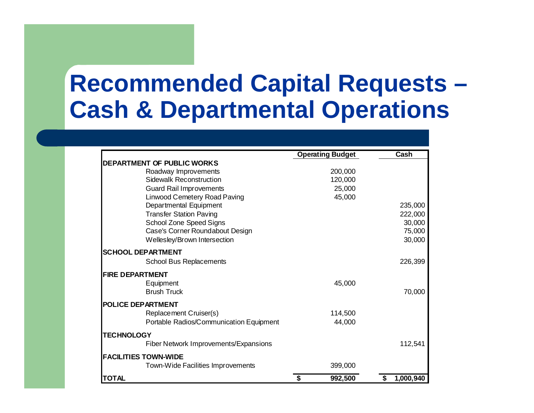### **Recommended Capital Requests – Cash & Departmental Operations**

|                                         | <b>Operating Budget</b> | Cash      |
|-----------------------------------------|-------------------------|-----------|
| DEPARTMENT OF PUBLIC WORKS              |                         |           |
| Roadway Improvements                    | 200,000                 |           |
| <b>Sidewalk Reconstruction</b>          | 120,000                 |           |
| <b>Guard Rail Improvements</b>          | 25,000                  |           |
| <b>Linwood Cemetery Road Paving</b>     | 45,000                  |           |
| Departmental Equipment                  |                         | 235,000   |
| <b>Transfer Station Paving</b>          |                         | 222,000   |
| School Zone Speed Signs                 |                         | 30,000    |
| Case's Corner Roundabout Design         |                         | 75,000    |
| Wellesley/Brown Intersection            |                         | 30,000    |
| <b>SCHOOL DEPARTMENT</b>                |                         |           |
| <b>School Bus Replacements</b>          |                         | 226,399   |
| <b>FIRE DEPARTMENT</b>                  |                         |           |
| Equipment                               | 45,000                  |           |
| <b>Brush Truck</b>                      |                         | 70,000    |
| <b>POLICE DEPARTMENT</b>                |                         |           |
| Replacement Cruiser(s)                  | 114,500                 |           |
| Portable Radios/Communication Equipment | 44,000                  |           |
| <b>TECHNOLOGY</b>                       |                         |           |
| Fiber Network Improvements/Expansions   |                         | 112,541   |
| <b>FACILITIES TOWN-WIDE</b>             |                         |           |
| Town-Wide Facilities Improvements       | 399,000                 |           |
| TOTAL                                   | 992,500<br>\$           | 1,000,940 |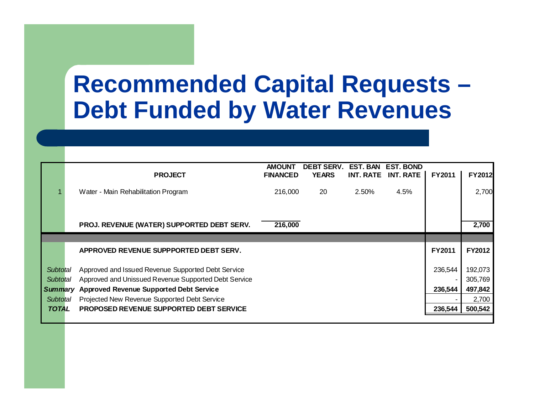### **Recommended Capital Requests – Debt Funded by Water Revenues**

|                | <b>PROJECT</b>                                       | <b>AMOUNT</b><br><b>FINANCED</b> | <b>DEBT SERV.</b><br><b>YEARS</b> | <b>EST. BAN</b><br><b>INT. RATE</b> | <b>EST. BOND</b><br><b>INT. RATE</b> | <b>FY2011</b> | FY2012        |
|----------------|------------------------------------------------------|----------------------------------|-----------------------------------|-------------------------------------|--------------------------------------|---------------|---------------|
|                | Water - Main Rehabilitation Program                  | 216,000                          | 20                                | 2.50%                               | 4.5%                                 |               | 2,700         |
|                |                                                      |                                  |                                   |                                     |                                      |               |               |
|                | PROJ. REVENUE (WATER) SUPPORTED DEBT SERV.           | 216,000                          |                                   |                                     |                                      |               | 2,700         |
|                |                                                      |                                  |                                   |                                     |                                      |               |               |
|                | APPROVED REVENUE SUPPPORTED DEBT SERV.               |                                  |                                   |                                     |                                      | FY2011        | <b>FY2012</b> |
| Subtotal       | Approved and Issued Revenue Supported Debt Service   |                                  |                                   |                                     |                                      | 236,544       | 192,073       |
| Subtotal       | Approved and Unissued Revenue Supported Debt Service |                                  |                                   |                                     |                                      |               | 305,769       |
| <b>Summary</b> | <b>Approved Revenue Supported Debt Service</b>       |                                  |                                   |                                     |                                      | 236,544       | 497,842       |
| Subtotal       | Projected New Revenue Supported Debt Service         |                                  |                                   |                                     |                                      |               | 2,700         |
| <b>TOTAL</b>   | <b>PROPOSED REVENUE SUPPORTED DEBT SERVICE</b>       |                                  |                                   |                                     |                                      | 236,544       | 500,542       |
|                |                                                      |                                  |                                   |                                     |                                      |               |               |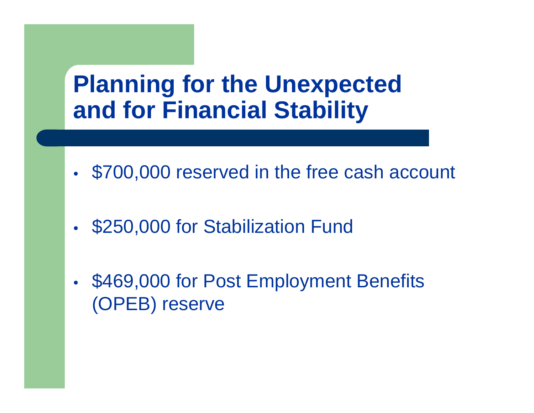#### **Planning for the Unexpected and for Financial Stability**

- •\$700,000 reserved in the free cash account
- $\bullet$ \$250,000 for Stabilization Fund
- •• \$469,000 for Post Employment Benefits (OPEB) reserve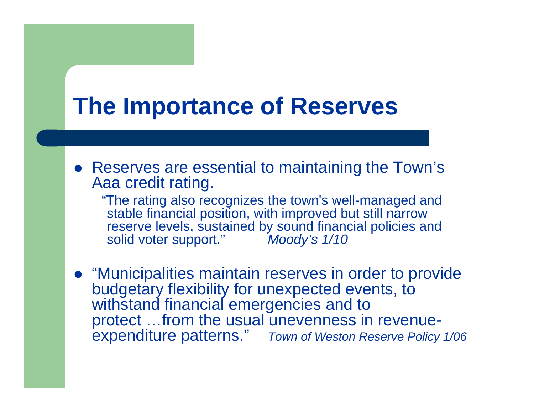#### **The Importance of Reserves**

• Reserves are essential to maintaining the Town's Aaa credit rating.

"The rating also recognizes the town's well-managed and stable financial position, with improved but still narrow reserve levels, sustained by sound financial policies and solid voter support." *Moody's 1/10*

**• "Municipalities maintain reserves in order to provide** budgetary flexibility for unexpected events, to withstand financial emergencies and to protect …from the usual unevenness in revenueexpenditure patterns." *Town of Weston Reserve Policy 1/06*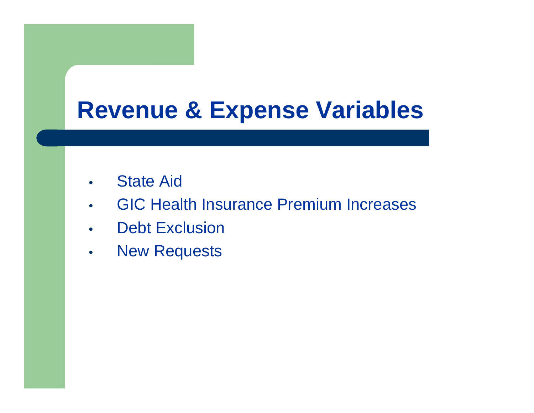## **Revenue & Expense Variables**

- •State Aid
- •GIC Health Insurance Premium Increases
- •Debt Exclusion
- •New Requests